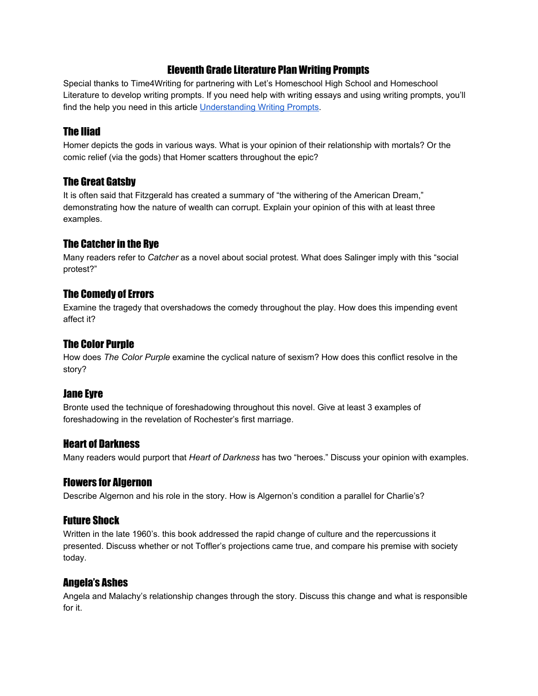#### Eleventh Grade Literature Plan Writing Prompts

Special thanks to Time4Writing for partnering with Let's Homeschool High School and Homeschool Literature to develop writing prompts. If you need help with writing essays and using writing prompts, you'll find the help you need in this article [Understanding Writing Prompts.](http://www.time4writing.com/writing-resources/understanding-writing-prompts/)

#### The Iliad

Homer depicts the gods in various ways. What is your opinion of their relationship with mortals? Or the comic relief (via the gods) that Homer scatters throughout the epic?

## The Great Gatsby

It is often said that Fitzgerald has created a summary of "the withering of the American Dream," demonstrating how the nature of wealth can corrupt. Explain your opinion of this with at least three examples.

## The Catcher in the Rye

Many readers refer to *Catcher* as a novel about social protest. What does Salinger imply with this "social protest?"

## The Comedy of Errors

Examine the tragedy that overshadows the comedy throughout the play. How does this impending event affect it?

## The Color Purple

How does *The Color Purple* examine the cyclical nature of sexism? How does this conflict resolve in the story?

#### Jane Eyre

Bronte used the technique of foreshadowing throughout this novel. Give at least 3 examples of foreshadowing in the revelation of Rochester's first marriage.

#### Heart of Darkness

Many readers would purport that *Heart of Darkness* has two "heroes." Discuss your opinion with examples.

#### Flowers for Algernon

Describe Algernon and his role in the story. How is Algernon's condition a parallel for Charlie's?

#### Future Shock

Written in the late 1960's. this book addressed the rapid change of culture and the repercussions it presented. Discuss whether or not Toffler's projections came true, and compare his premise with society today.

#### Angela's Ashes

Angela and Malachy's relationship changes through the story. Discuss this change and what is responsible for it.